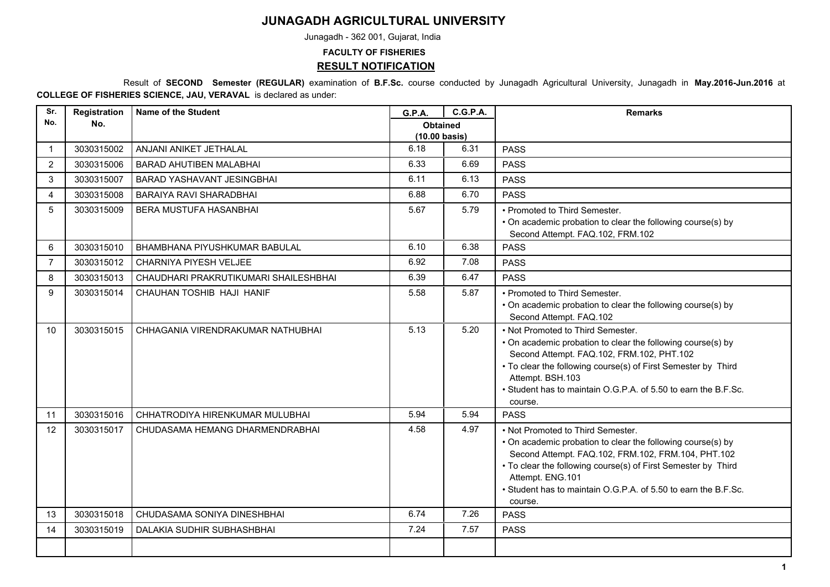## **JUNAGADH AGRICULTURAL UNIVERSITY**

Junagadh - 362 001, Gujarat, India

## **FACULTY OF FISHERIES RESULT NOTIFICATION**

 Result of **SECOND Semester (REGULAR)** examination of **B.F.Sc.** course conducted by Junagadh Agricultural University, Junagadh in **May.2016-Jun.2016** at **COLLEGE OF FISHERIES SCIENCE, JAU, VERAVAL** is declared as under:

| Sr.            | Registration | <b>Name of the Student</b>            | G.P.A.                           | <b>C.G.P.A.</b> | <b>Remarks</b>                                                                                                                                                                                                                                                                                                           |
|----------------|--------------|---------------------------------------|----------------------------------|-----------------|--------------------------------------------------------------------------------------------------------------------------------------------------------------------------------------------------------------------------------------------------------------------------------------------------------------------------|
| No.            | No.          |                                       | <b>Obtained</b><br>(10.00 basis) |                 |                                                                                                                                                                                                                                                                                                                          |
| -1             | 3030315002   | ANJANI ANIKET JETHALAL                | 6.18                             | 6.31            | <b>PASS</b>                                                                                                                                                                                                                                                                                                              |
| $\overline{2}$ | 3030315006   | <b>BARAD AHUTIBEN MALABHAI</b>        | 6.33                             | 6.69            | <b>PASS</b>                                                                                                                                                                                                                                                                                                              |
| 3              | 3030315007   | BARAD YASHAVANT JESINGBHAI            | 6.11                             | 6.13            | <b>PASS</b>                                                                                                                                                                                                                                                                                                              |
| 4              | 3030315008   | BARAIYA RAVI SHARADBHAI               | 6.88                             | 6.70            | <b>PASS</b>                                                                                                                                                                                                                                                                                                              |
| 5              | 3030315009   | BERA MUSTUFA HASANBHAI                | 5.67                             | 5.79            | • Promoted to Third Semester.<br>• On academic probation to clear the following course(s) by<br>Second Attempt. FAQ.102, FRM.102                                                                                                                                                                                         |
| 6              | 3030315010   | BHAMBHANA PIYUSHKUMAR BABULAL         | 6.10                             | 6.38            | <b>PASS</b>                                                                                                                                                                                                                                                                                                              |
| $\overline{7}$ | 3030315012   | CHARNIYA PIYESH VELJEE                | 6.92                             | 7.08            | <b>PASS</b>                                                                                                                                                                                                                                                                                                              |
| 8              | 3030315013   | CHAUDHARI PRAKRUTIKUMARI SHAILESHBHAI | 6.39                             | 6.47            | <b>PASS</b>                                                                                                                                                                                                                                                                                                              |
| 9              | 3030315014   | CHAUHAN TOSHIB HAJI HANIF             | 5.58                             | 5.87            | • Promoted to Third Semester.<br>• On academic probation to clear the following course(s) by<br>Second Attempt. FAQ.102                                                                                                                                                                                                  |
| 10             | 3030315015   | CHHAGANIA VIRENDRAKUMAR NATHUBHAI     | 5.13                             | 5.20            | • Not Promoted to Third Semester.<br>• On academic probation to clear the following course(s) by<br>Second Attempt. FAQ.102, FRM.102, PHT.102<br>• To clear the following course(s) of First Semester by Third<br>Attempt. BSH.103<br>• Student has to maintain O.G.P.A. of 5.50 to earn the B.F.Sc.<br>course.          |
| 11             | 3030315016   | CHHATRODIYA HIRENKUMAR MULUBHAI       | 5.94                             | 5.94            | <b>PASS</b>                                                                                                                                                                                                                                                                                                              |
| 12             | 3030315017   | CHUDASAMA HEMANG DHARMENDRABHAI       | 4.58                             | 4.97            | • Not Promoted to Third Semester.<br>• On academic probation to clear the following course(s) by<br>Second Attempt. FAQ.102, FRM.102, FRM.104, PHT.102<br>• To clear the following course(s) of First Semester by Third<br>Attempt. ENG.101<br>• Student has to maintain O.G.P.A. of 5.50 to earn the B.F.Sc.<br>course. |
| 13             | 3030315018   | CHUDASAMA SONIYA DINESHBHAI           | 6.74                             | 7.26            | <b>PASS</b>                                                                                                                                                                                                                                                                                                              |
| 14             | 3030315019   | DALAKIA SUDHIR SUBHASHBHAI            | 7.24                             | 7.57            | <b>PASS</b>                                                                                                                                                                                                                                                                                                              |
|                |              |                                       |                                  |                 |                                                                                                                                                                                                                                                                                                                          |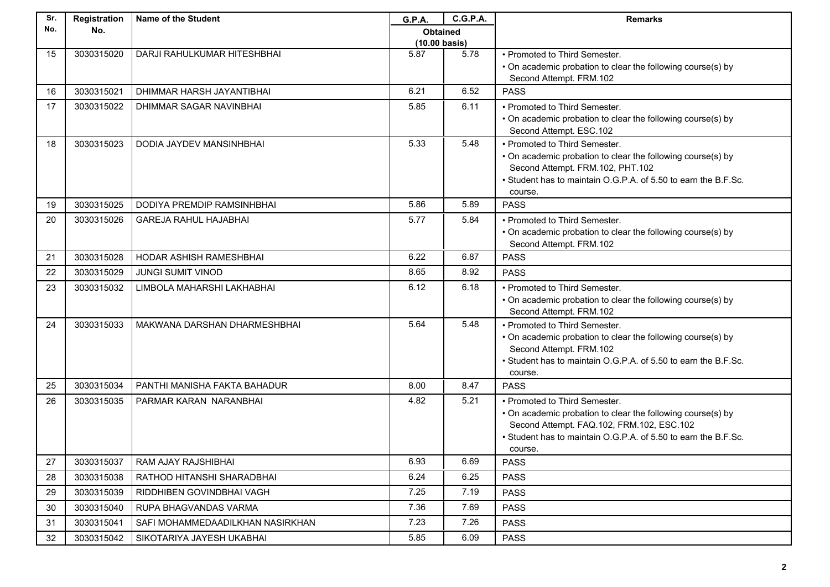| Sr. | Registration | <b>Name of the Student</b>        | <b>G.P.A.</b>           | <b>C.G.P.A.</b> | <b>Remarks</b>                                                                                  |
|-----|--------------|-----------------------------------|-------------------------|-----------------|-------------------------------------------------------------------------------------------------|
| No. | No.          |                                   | <b>Obtained</b>         |                 |                                                                                                 |
|     |              |                                   | $(10.00 \text{ basis})$ |                 |                                                                                                 |
| 15  | 3030315020   | DARJI RAHULKUMAR HITESHBHAI       | 5.87                    | 5.78            | • Promoted to Third Semester.<br>• On academic probation to clear the following course(s) by    |
|     |              |                                   |                         |                 | Second Attempt. FRM.102                                                                         |
| 16  | 3030315021   | DHIMMAR HARSH JAYANTIBHAI         | 6.21                    | 6.52            | <b>PASS</b>                                                                                     |
| 17  | 3030315022   | DHIMMAR SAGAR NAVINBHAI           | 5.85                    | 6.11            | • Promoted to Third Semester.                                                                   |
|     |              |                                   |                         |                 | • On academic probation to clear the following course(s) by                                     |
|     |              |                                   |                         |                 | Second Attempt. ESC.102                                                                         |
| 18  | 3030315023   | DODIA JAYDEV MANSINHBHAI          | 5.33                    | 5.48            | • Promoted to Third Semester.                                                                   |
|     |              |                                   |                         |                 | • On academic probation to clear the following course(s) by<br>Second Attempt. FRM.102, PHT.102 |
|     |              |                                   |                         |                 | • Student has to maintain O.G.P.A. of 5.50 to earn the B.F.Sc.                                  |
|     |              |                                   |                         |                 | course.                                                                                         |
| 19  | 3030315025   | <b>DODIYA PREMDIP RAMSINHBHAI</b> | 5.86                    | 5.89            | <b>PASS</b>                                                                                     |
| 20  | 3030315026   | <b>GAREJA RAHUL HAJABHAI</b>      | 5.77                    | 5.84            | • Promoted to Third Semester.                                                                   |
|     |              |                                   |                         |                 | • On academic probation to clear the following course(s) by                                     |
|     | 3030315028   |                                   | 6.22                    | 6.87            | Second Attempt. FRM.102                                                                         |
| 21  |              | HODAR ASHISH RAMESHBHAI           |                         |                 | <b>PASS</b>                                                                                     |
| 22  | 3030315029   | <b>JUNGI SUMIT VINOD</b>          | 8.65                    | 8.92            | <b>PASS</b>                                                                                     |
| 23  | 3030315032   | LIMBOLA MAHARSHI LAKHABHAI        | 6.12                    | 6.18            | • Promoted to Third Semester.                                                                   |
|     |              |                                   |                         |                 | • On academic probation to clear the following course(s) by<br>Second Attempt. FRM.102          |
| 24  | 3030315033   | MAKWANA DARSHAN DHARMESHBHAI      | 5.64                    | 5.48            | • Promoted to Third Semester.                                                                   |
|     |              |                                   |                         |                 | • On academic probation to clear the following course(s) by                                     |
|     |              |                                   |                         |                 | Second Attempt. FRM.102                                                                         |
|     |              |                                   |                         |                 | • Student has to maintain O.G.P.A. of 5.50 to earn the B.F.Sc.                                  |
| 25  | 3030315034   | PANTHI MANISHA FAKTA BAHADUR      | 8.00                    | 8.47            | course.<br><b>PASS</b>                                                                          |
|     | 3030315035   |                                   | 4.82                    | 5.21            |                                                                                                 |
| 26  |              | PARMAR KARAN NARANBHAI            |                         |                 | • Promoted to Third Semester.<br>• On academic probation to clear the following course(s) by    |
|     |              |                                   |                         |                 | Second Attempt. FAQ.102, FRM.102, ESC.102                                                       |
|     |              |                                   |                         |                 | • Student has to maintain O.G.P.A. of 5.50 to earn the B.F.Sc.                                  |
|     |              |                                   |                         |                 | course.                                                                                         |
| 27  | 3030315037   | RAM AJAY RAJSHIBHAI               | 6.93                    | 6.69            | <b>PASS</b>                                                                                     |
| 28  | 3030315038   | RATHOD HITANSHI SHARADBHAI        | 6.24                    | 6.25            | <b>PASS</b>                                                                                     |
| 29  | 3030315039   | RIDDHIBEN GOVINDBHAI VAGH         | 7.25                    | 7.19            | <b>PASS</b>                                                                                     |
| 30  | 3030315040   | RUPA BHAGVANDAS VARMA             | 7.36                    | 7.69            | <b>PASS</b>                                                                                     |
| 31  | 3030315041   | SAFI MOHAMMEDAADILKHAN NASIRKHAN  | 7.23                    | 7.26            | <b>PASS</b>                                                                                     |
| 32  | 3030315042   | SIKOTARIYA JAYESH UKABHAI         | 5.85                    | 6.09            | <b>PASS</b>                                                                                     |